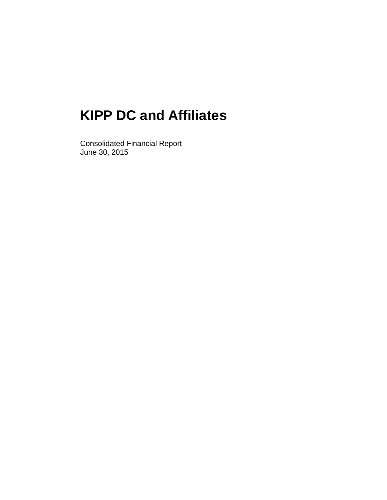Consolidated Financial Report June 30, 2015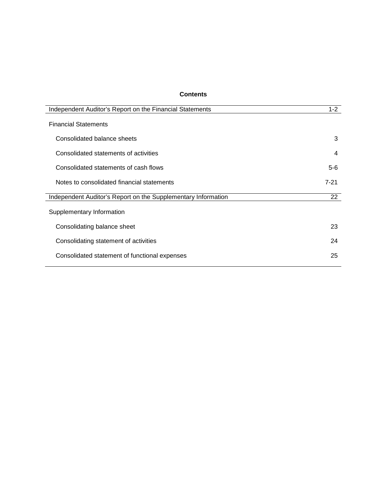## **Contents**

| $1 - 2$  |
|----------|
|          |
| 3        |
| 4        |
| $5-6$    |
| $7 - 21$ |
| 22       |
|          |
| 23       |
| 24       |
| 25       |
|          |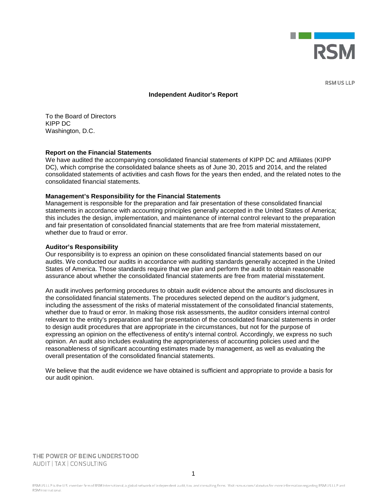

**RSM US LLP** 

#### **Independent Auditor's Report**

To the Board of Directors KIPP DC Washington, D.C.

#### **Report on the Financial Statements**

We have audited the accompanying consolidated financial statements of KIPP DC and Affiliates (KIPP DC), which comprise the consolidated balance sheets as of June 30, 2015 and 2014, and the related consolidated statements of activities and cash flows for the years then ended, and the related notes to the consolidated financial statements.

#### **Management's Responsibility for the Financial Statements**

Management is responsible for the preparation and fair presentation of these consolidated financial statements in accordance with accounting principles generally accepted in the United States of America; this includes the design, implementation, and maintenance of internal control relevant to the preparation and fair presentation of consolidated financial statements that are free from material misstatement, whether due to fraud or error.

#### **Auditor's Responsibility**

Our responsibility is to express an opinion on these consolidated financial statements based on our audits. We conducted our audits in accordance with auditing standards generally accepted in the United States of America. Those standards require that we plan and perform the audit to obtain reasonable assurance about whether the consolidated financial statements are free from material misstatement.

An audit involves performing procedures to obtain audit evidence about the amounts and disclosures in the consolidated financial statements. The procedures selected depend on the auditor's judgment, including the assessment of the risks of material misstatement of the consolidated financial statements, whether due to fraud or error. In making those risk assessments, the auditor considers internal control relevant to the entity's preparation and fair presentation of the consolidated financial statements in order to design audit procedures that are appropriate in the circumstances, but not for the purpose of expressing an opinion on the effectiveness of entity's internal control. Accordingly, we express no such opinion. An audit also includes evaluating the appropriateness of accounting policies used and the reasonableness of significant accounting estimates made by management, as well as evaluating the overall presentation of the consolidated financial statements.

We believe that the audit evidence we have obtained is sufficient and appropriate to provide a basis for our audit opinion.

THE POWER OF BEING UNDERSTOOD AUDIT | TAX | CONSULTING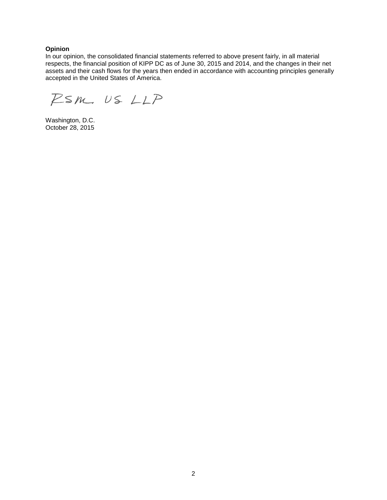## **Opinion**

In our opinion, the consolidated financial statements referred to above present fairly, in all material respects, the financial position of KIPP DC as of June 30, 2015 and 2014, and the changes in their net assets and their cash flows for the years then ended in accordance with accounting principles generally accepted in the United States of America.

RSM US LLP

Washington, D.C. October 28, 2015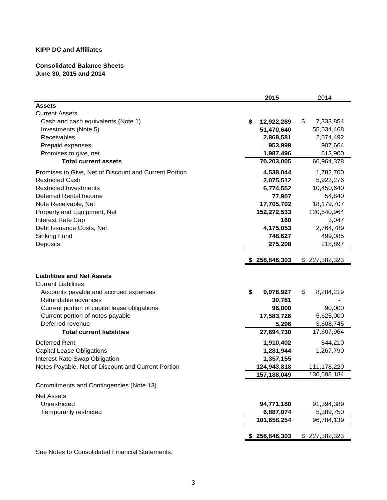## **Consolidated Balance Sheets June 30, 2015 and 2014**

| <b>Assets</b><br><b>Current Assets</b><br>\$<br>7,333,854<br>Cash and cash equivalents (Note 1)<br>\$<br>12,922,289<br>51,470,640<br>55,534,468<br>Investments (Note 5)<br>Receivables<br>2,868,581<br>2,574,492<br>Prepaid expenses<br>953,999<br>907,664<br>1,987,496<br>Promises to give, net<br>613,900<br>70,203,005<br>66,964,378<br><b>Total current assets</b><br>Promises to Give, Net of Discount and Current Portion<br>1,782,700<br>4,538,044<br><b>Restricted Cash</b><br>2,075,512<br>5,923,276<br><b>Restricted Investments</b><br>6,774,552<br>10,450,640<br>Deferred Rental Income<br>77,907<br>54,840<br>17,705,702<br>Note Receivable, Net<br>18,179,707<br>Property and Equipment, Net<br>152,272,533<br>120,540,964<br>160<br>Interest Rate Cap<br>3,047<br>Debt Issuance Costs, Net<br>4,175,053<br>2,764,789<br>Sinking Fund<br>748,627<br>499,085<br>Deposits<br>275,208<br>218,897<br>\$227,382,323<br>\$258,846,303<br><b>Liabilities and Net Assets</b><br><b>Current Liabilities</b><br>\$<br>9,978,927<br>\$<br>8,284,219<br>Accounts payable and accrued expenses<br>Refundable advances<br>30,781<br>Current portion of capital lease obligations<br>96,000<br>90,000<br>Current portion of notes payable<br>17,583,726<br>5,625,000<br>Deferred revenue<br>5,296<br>3,608,745<br><b>Total current liabilities</b><br>27,694,730<br>17,607,964<br>Deferred Rent<br>544,210<br>1,910,402<br><b>Capital Lease Obligations</b><br>1,267,790<br>1,281,944<br>Interest Rate Swap Obligation<br>1,357,155<br>Notes Payable, Net of Discount and Current Portion<br>124,943,818<br>111,178,220<br>157,188,049<br>130,598,184<br>Commitments and Contingencies (Note 13)<br><b>Net Assets</b><br>Unrestricted<br>94,771,180<br>91,394,389<br>Temporarily restricted<br>6,887,074<br>5,389,750<br>101,658,254<br>96,784,139<br>\$258,846,303<br>\$227,382,323 | 2015 | 2014 |
|-------------------------------------------------------------------------------------------------------------------------------------------------------------------------------------------------------------------------------------------------------------------------------------------------------------------------------------------------------------------------------------------------------------------------------------------------------------------------------------------------------------------------------------------------------------------------------------------------------------------------------------------------------------------------------------------------------------------------------------------------------------------------------------------------------------------------------------------------------------------------------------------------------------------------------------------------------------------------------------------------------------------------------------------------------------------------------------------------------------------------------------------------------------------------------------------------------------------------------------------------------------------------------------------------------------------------------------------------------------------------------------------------------------------------------------------------------------------------------------------------------------------------------------------------------------------------------------------------------------------------------------------------------------------------------------------------------------------------------------------------------------------------------------------------------------------------------------------------------------------------------------|------|------|
|                                                                                                                                                                                                                                                                                                                                                                                                                                                                                                                                                                                                                                                                                                                                                                                                                                                                                                                                                                                                                                                                                                                                                                                                                                                                                                                                                                                                                                                                                                                                                                                                                                                                                                                                                                                                                                                                                     |      |      |
|                                                                                                                                                                                                                                                                                                                                                                                                                                                                                                                                                                                                                                                                                                                                                                                                                                                                                                                                                                                                                                                                                                                                                                                                                                                                                                                                                                                                                                                                                                                                                                                                                                                                                                                                                                                                                                                                                     |      |      |
|                                                                                                                                                                                                                                                                                                                                                                                                                                                                                                                                                                                                                                                                                                                                                                                                                                                                                                                                                                                                                                                                                                                                                                                                                                                                                                                                                                                                                                                                                                                                                                                                                                                                                                                                                                                                                                                                                     |      |      |
|                                                                                                                                                                                                                                                                                                                                                                                                                                                                                                                                                                                                                                                                                                                                                                                                                                                                                                                                                                                                                                                                                                                                                                                                                                                                                                                                                                                                                                                                                                                                                                                                                                                                                                                                                                                                                                                                                     |      |      |
|                                                                                                                                                                                                                                                                                                                                                                                                                                                                                                                                                                                                                                                                                                                                                                                                                                                                                                                                                                                                                                                                                                                                                                                                                                                                                                                                                                                                                                                                                                                                                                                                                                                                                                                                                                                                                                                                                     |      |      |
|                                                                                                                                                                                                                                                                                                                                                                                                                                                                                                                                                                                                                                                                                                                                                                                                                                                                                                                                                                                                                                                                                                                                                                                                                                                                                                                                                                                                                                                                                                                                                                                                                                                                                                                                                                                                                                                                                     |      |      |
|                                                                                                                                                                                                                                                                                                                                                                                                                                                                                                                                                                                                                                                                                                                                                                                                                                                                                                                                                                                                                                                                                                                                                                                                                                                                                                                                                                                                                                                                                                                                                                                                                                                                                                                                                                                                                                                                                     |      |      |
|                                                                                                                                                                                                                                                                                                                                                                                                                                                                                                                                                                                                                                                                                                                                                                                                                                                                                                                                                                                                                                                                                                                                                                                                                                                                                                                                                                                                                                                                                                                                                                                                                                                                                                                                                                                                                                                                                     |      |      |
|                                                                                                                                                                                                                                                                                                                                                                                                                                                                                                                                                                                                                                                                                                                                                                                                                                                                                                                                                                                                                                                                                                                                                                                                                                                                                                                                                                                                                                                                                                                                                                                                                                                                                                                                                                                                                                                                                     |      |      |
|                                                                                                                                                                                                                                                                                                                                                                                                                                                                                                                                                                                                                                                                                                                                                                                                                                                                                                                                                                                                                                                                                                                                                                                                                                                                                                                                                                                                                                                                                                                                                                                                                                                                                                                                                                                                                                                                                     |      |      |
|                                                                                                                                                                                                                                                                                                                                                                                                                                                                                                                                                                                                                                                                                                                                                                                                                                                                                                                                                                                                                                                                                                                                                                                                                                                                                                                                                                                                                                                                                                                                                                                                                                                                                                                                                                                                                                                                                     |      |      |
|                                                                                                                                                                                                                                                                                                                                                                                                                                                                                                                                                                                                                                                                                                                                                                                                                                                                                                                                                                                                                                                                                                                                                                                                                                                                                                                                                                                                                                                                                                                                                                                                                                                                                                                                                                                                                                                                                     |      |      |
|                                                                                                                                                                                                                                                                                                                                                                                                                                                                                                                                                                                                                                                                                                                                                                                                                                                                                                                                                                                                                                                                                                                                                                                                                                                                                                                                                                                                                                                                                                                                                                                                                                                                                                                                                                                                                                                                                     |      |      |
|                                                                                                                                                                                                                                                                                                                                                                                                                                                                                                                                                                                                                                                                                                                                                                                                                                                                                                                                                                                                                                                                                                                                                                                                                                                                                                                                                                                                                                                                                                                                                                                                                                                                                                                                                                                                                                                                                     |      |      |
|                                                                                                                                                                                                                                                                                                                                                                                                                                                                                                                                                                                                                                                                                                                                                                                                                                                                                                                                                                                                                                                                                                                                                                                                                                                                                                                                                                                                                                                                                                                                                                                                                                                                                                                                                                                                                                                                                     |      |      |
|                                                                                                                                                                                                                                                                                                                                                                                                                                                                                                                                                                                                                                                                                                                                                                                                                                                                                                                                                                                                                                                                                                                                                                                                                                                                                                                                                                                                                                                                                                                                                                                                                                                                                                                                                                                                                                                                                     |      |      |
|                                                                                                                                                                                                                                                                                                                                                                                                                                                                                                                                                                                                                                                                                                                                                                                                                                                                                                                                                                                                                                                                                                                                                                                                                                                                                                                                                                                                                                                                                                                                                                                                                                                                                                                                                                                                                                                                                     |      |      |
|                                                                                                                                                                                                                                                                                                                                                                                                                                                                                                                                                                                                                                                                                                                                                                                                                                                                                                                                                                                                                                                                                                                                                                                                                                                                                                                                                                                                                                                                                                                                                                                                                                                                                                                                                                                                                                                                                     |      |      |
|                                                                                                                                                                                                                                                                                                                                                                                                                                                                                                                                                                                                                                                                                                                                                                                                                                                                                                                                                                                                                                                                                                                                                                                                                                                                                                                                                                                                                                                                                                                                                                                                                                                                                                                                                                                                                                                                                     |      |      |
|                                                                                                                                                                                                                                                                                                                                                                                                                                                                                                                                                                                                                                                                                                                                                                                                                                                                                                                                                                                                                                                                                                                                                                                                                                                                                                                                                                                                                                                                                                                                                                                                                                                                                                                                                                                                                                                                                     |      |      |
|                                                                                                                                                                                                                                                                                                                                                                                                                                                                                                                                                                                                                                                                                                                                                                                                                                                                                                                                                                                                                                                                                                                                                                                                                                                                                                                                                                                                                                                                                                                                                                                                                                                                                                                                                                                                                                                                                     |      |      |
|                                                                                                                                                                                                                                                                                                                                                                                                                                                                                                                                                                                                                                                                                                                                                                                                                                                                                                                                                                                                                                                                                                                                                                                                                                                                                                                                                                                                                                                                                                                                                                                                                                                                                                                                                                                                                                                                                     |      |      |
|                                                                                                                                                                                                                                                                                                                                                                                                                                                                                                                                                                                                                                                                                                                                                                                                                                                                                                                                                                                                                                                                                                                                                                                                                                                                                                                                                                                                                                                                                                                                                                                                                                                                                                                                                                                                                                                                                     |      |      |
|                                                                                                                                                                                                                                                                                                                                                                                                                                                                                                                                                                                                                                                                                                                                                                                                                                                                                                                                                                                                                                                                                                                                                                                                                                                                                                                                                                                                                                                                                                                                                                                                                                                                                                                                                                                                                                                                                     |      |      |
|                                                                                                                                                                                                                                                                                                                                                                                                                                                                                                                                                                                                                                                                                                                                                                                                                                                                                                                                                                                                                                                                                                                                                                                                                                                                                                                                                                                                                                                                                                                                                                                                                                                                                                                                                                                                                                                                                     |      |      |
|                                                                                                                                                                                                                                                                                                                                                                                                                                                                                                                                                                                                                                                                                                                                                                                                                                                                                                                                                                                                                                                                                                                                                                                                                                                                                                                                                                                                                                                                                                                                                                                                                                                                                                                                                                                                                                                                                     |      |      |
|                                                                                                                                                                                                                                                                                                                                                                                                                                                                                                                                                                                                                                                                                                                                                                                                                                                                                                                                                                                                                                                                                                                                                                                                                                                                                                                                                                                                                                                                                                                                                                                                                                                                                                                                                                                                                                                                                     |      |      |
|                                                                                                                                                                                                                                                                                                                                                                                                                                                                                                                                                                                                                                                                                                                                                                                                                                                                                                                                                                                                                                                                                                                                                                                                                                                                                                                                                                                                                                                                                                                                                                                                                                                                                                                                                                                                                                                                                     |      |      |
|                                                                                                                                                                                                                                                                                                                                                                                                                                                                                                                                                                                                                                                                                                                                                                                                                                                                                                                                                                                                                                                                                                                                                                                                                                                                                                                                                                                                                                                                                                                                                                                                                                                                                                                                                                                                                                                                                     |      |      |
|                                                                                                                                                                                                                                                                                                                                                                                                                                                                                                                                                                                                                                                                                                                                                                                                                                                                                                                                                                                                                                                                                                                                                                                                                                                                                                                                                                                                                                                                                                                                                                                                                                                                                                                                                                                                                                                                                     |      |      |
|                                                                                                                                                                                                                                                                                                                                                                                                                                                                                                                                                                                                                                                                                                                                                                                                                                                                                                                                                                                                                                                                                                                                                                                                                                                                                                                                                                                                                                                                                                                                                                                                                                                                                                                                                                                                                                                                                     |      |      |
|                                                                                                                                                                                                                                                                                                                                                                                                                                                                                                                                                                                                                                                                                                                                                                                                                                                                                                                                                                                                                                                                                                                                                                                                                                                                                                                                                                                                                                                                                                                                                                                                                                                                                                                                                                                                                                                                                     |      |      |
|                                                                                                                                                                                                                                                                                                                                                                                                                                                                                                                                                                                                                                                                                                                                                                                                                                                                                                                                                                                                                                                                                                                                                                                                                                                                                                                                                                                                                                                                                                                                                                                                                                                                                                                                                                                                                                                                                     |      |      |
|                                                                                                                                                                                                                                                                                                                                                                                                                                                                                                                                                                                                                                                                                                                                                                                                                                                                                                                                                                                                                                                                                                                                                                                                                                                                                                                                                                                                                                                                                                                                                                                                                                                                                                                                                                                                                                                                                     |      |      |
|                                                                                                                                                                                                                                                                                                                                                                                                                                                                                                                                                                                                                                                                                                                                                                                                                                                                                                                                                                                                                                                                                                                                                                                                                                                                                                                                                                                                                                                                                                                                                                                                                                                                                                                                                                                                                                                                                     |      |      |
|                                                                                                                                                                                                                                                                                                                                                                                                                                                                                                                                                                                                                                                                                                                                                                                                                                                                                                                                                                                                                                                                                                                                                                                                                                                                                                                                                                                                                                                                                                                                                                                                                                                                                                                                                                                                                                                                                     |      |      |
|                                                                                                                                                                                                                                                                                                                                                                                                                                                                                                                                                                                                                                                                                                                                                                                                                                                                                                                                                                                                                                                                                                                                                                                                                                                                                                                                                                                                                                                                                                                                                                                                                                                                                                                                                                                                                                                                                     |      |      |
|                                                                                                                                                                                                                                                                                                                                                                                                                                                                                                                                                                                                                                                                                                                                                                                                                                                                                                                                                                                                                                                                                                                                                                                                                                                                                                                                                                                                                                                                                                                                                                                                                                                                                                                                                                                                                                                                                     |      |      |

See Notes to Consolidated Financial Statements.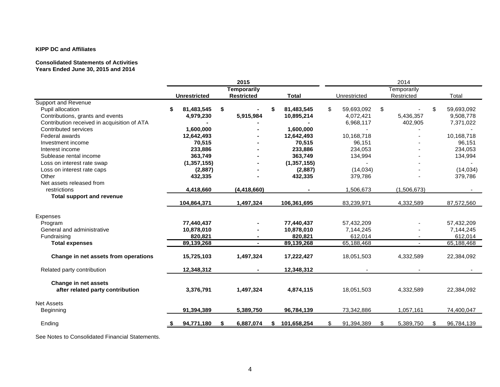#### **Consolidated Statements of Activities Years Ended June 30, 2015 and 2014**

|                                             |   |                     |    | 2015               |     |               | 2014 |              |    |             |    |            |
|---------------------------------------------|---|---------------------|----|--------------------|-----|---------------|------|--------------|----|-------------|----|------------|
|                                             |   |                     |    | <b>Temporarily</b> |     |               |      |              |    | Temporarily |    |            |
|                                             |   | <b>Unrestricted</b> |    | <b>Restricted</b>  |     | <b>Total</b>  |      | Unrestricted |    | Restricted  |    | Total      |
| <b>Support and Revenue</b>                  |   |                     |    |                    |     |               |      |              |    |             |    |            |
| Pupil allocation                            | S | 81,483,545          | \$ |                    |     | 81,483,545    | \$   | 59,693,092   | \$ |             | \$ | 59,693,092 |
| Contributions, grants and events            |   | 4,979,230           |    | 5,915,984          |     | 10,895,214    |      | 4,072,421    |    | 5,436,357   |    | 9,508,778  |
| Contribution received in acquisition of ATA |   |                     |    |                    |     |               |      | 6,968,117    |    | 402,905     |    | 7,371,022  |
| Contributed services                        |   | 1,600,000           |    |                    |     | 1,600,000     |      |              |    |             |    |            |
| <b>Federal awards</b>                       |   | 12,642,493          |    |                    |     | 12,642,493    |      | 10.168.718   |    |             |    | 10.168.718 |
| Investment income                           |   | 70,515              |    |                    |     | 70,515        |      | 96,151       |    |             |    | 96,151     |
| Interest income                             |   | 233,886             |    |                    |     | 233,886       |      | 234,053      |    |             |    | 234,053    |
| Sublease rental income                      |   | 363,749             |    |                    |     | 363,749       |      | 134,994      |    |             |    | 134,994    |
| Loss on interest rate swap                  |   | (1, 357, 155)       |    |                    |     | (1, 357, 155) |      |              |    |             |    |            |
| Loss on interest rate caps                  |   | (2,887)             |    |                    |     | (2,887)       |      | (14, 034)    |    |             |    | (14, 034)  |
| Other                                       |   | 432,335             |    |                    |     | 432,335       |      | 379,786      |    |             |    | 379,786    |
| Net assets released from                    |   |                     |    |                    |     |               |      |              |    |             |    |            |
| restrictions                                |   | 4,418,660           |    | (4, 418, 660)      |     |               |      | 1,506,673    |    | (1,506,673) |    |            |
| <b>Total support and revenue</b>            |   |                     |    |                    |     |               |      |              |    |             |    |            |
|                                             |   | 104,864,371         |    | 1,497,324          |     | 106,361,695   |      | 83,239,971   |    | 4,332,589   |    | 87,572,560 |
| Expenses                                    |   |                     |    |                    |     |               |      |              |    |             |    |            |
| Program                                     |   | 77,440,437          |    |                    |     | 77,440,437    |      | 57,432,209   |    |             |    | 57,432,209 |
| General and administrative                  |   | 10,878,010          |    |                    |     | 10,878,010    |      | 7,144,245    |    |             |    | 7,144,245  |
| Fundraising                                 |   | 820,821             |    |                    |     | 820.821       |      | 612,014      |    |             |    | 612,014    |
| <b>Total expenses</b>                       |   | 89,139,268          |    |                    |     | 89,139,268    |      | 65,188,468   |    |             |    | 65,188,468 |
|                                             |   |                     |    |                    |     |               |      |              |    |             |    |            |
| Change in net assets from operations        |   | 15,725,103          |    | 1,497,324          |     | 17,222,427    |      | 18,051,503   |    | 4,332,589   |    | 22,384,092 |
| Related party contribution                  |   | 12,348,312          |    |                    |     | 12,348,312    |      |              |    |             |    |            |
| Change in net assets                        |   |                     |    |                    |     |               |      |              |    |             |    |            |
| after related party contribution            |   | 3,376,791           |    | 1,497,324          |     | 4,874,115     |      | 18,051,503   |    | 4,332,589   |    | 22,384,092 |
|                                             |   |                     |    |                    |     |               |      |              |    |             |    |            |
| <b>Net Assets</b>                           |   |                     |    |                    |     |               |      |              |    |             |    |            |
| Beginning                                   |   | 91,394,389          |    | 5,389,750          |     | 96,784,139    |      | 73,342,886   |    | 1,057,161   |    | 74,400,047 |
| Ending                                      |   | 94,771,180          |    | 6,887,074          | - 5 | 101,658,254   |      | 91,394,389   |    | 5,389,750   |    | 96,784,139 |
|                                             |   |                     |    |                    |     |               |      |              |    |             |    |            |

See Notes to Consolidated Financial Statements.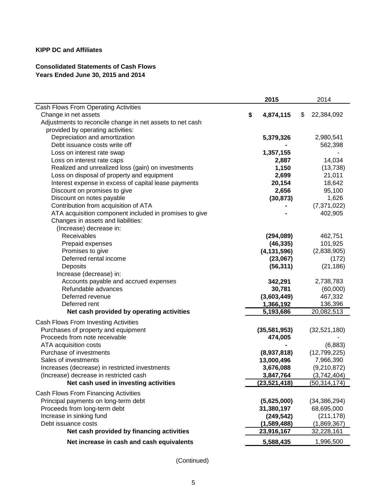# **Consolidated Statements of Cash Flows Years Ended June 30, 2015 and 2014**

|                                                           | 2015            | 2014             |
|-----------------------------------------------------------|-----------------|------------------|
| Cash Flows From Operating Activities                      |                 |                  |
| Change in net assets                                      | \$<br>4,874,115 | \$<br>22,384,092 |
| Adjustments to reconcile change in net assets to net cash |                 |                  |
| provided by operating activities:                         |                 |                  |
| Depreciation and amortization                             | 5,379,326       | 2,980,541        |
| Debt issuance costs write off                             |                 | 562,398          |
| Loss on interest rate swap                                | 1,357,155       |                  |
| Loss on interest rate caps                                | 2,887           | 14,034           |
| Realized and unrealized loss (gain) on investments        | 1,150           | (13, 738)        |
| Loss on disposal of property and equipment                | 2,699           | 21,011           |
| Interest expense in excess of capital lease payments      | 20,154          | 18,642           |
| Discount on promises to give                              | 2,656           | 95,100           |
| Discount on notes payable                                 | (30, 873)       | 1,626            |
| Contribution from acquisition of ATA                      |                 | (7, 371, 022)    |
| ATA acquisition component included in promises to give    |                 | 402,905          |
| Changes in assets and liabilities:                        |                 |                  |
| (Increase) decrease in:                                   |                 |                  |
| Receivables                                               | (294, 089)      | 462,751          |
| Prepaid expenses                                          | (46, 335)       | 101,925          |
| Promises to give                                          | (4, 131, 596)   | (2,838,905)      |
| Deferred rental income                                    | (23,067)        | (172)            |
| Deposits                                                  | (56, 311)       | (21, 186)        |
| Increase (decrease) in:                                   |                 |                  |
| Accounts payable and accrued expenses                     | 342,291         | 2,738,783        |
| Refundable advances                                       | 30,781          | (60,000)         |
| Deferred revenue                                          | (3,603,449)     | 467,332          |
| Deferred rent                                             | 1,366,192       | 136,396          |
| Net cash provided by operating activities                 | 5,193,686       | 20,082,513       |
| Cash Flows From Investing Activities                      |                 |                  |
| Purchases of property and equipment                       | (35, 581, 953)  | (32,521,180)     |
| Proceeds from note receivable                             | 474,005         |                  |
| ATA acquisition costs                                     |                 | (6,883)          |
| Purchase of investments                                   | (8,937,818)     | (12,799,225)     |
| Sales of investments                                      | 13,000,496      | 7,966,390        |
| Increases (decrease) in restricted investments            | 3,676,088       | (9,210,872)      |
| (Increase) decrease in restricted cash                    | 3,847,764       | (3,742,404)      |
| Net cash used in investing activities                     | (23, 521, 418)  | (50, 314, 174)   |
| Cash Flows From Financing Activities                      |                 |                  |
| Principal payments on long-term debt                      | (5,625,000)     | (34, 386, 294)   |
| Proceeds from long-term debt                              | 31,380,197      | 68,695,000       |
| Increase in sinking fund                                  | (249, 542)      | (211, 178)       |
| Debt issuance costs                                       | (1,589,488)     | (1,869,367)      |
| Net cash provided by financing activities                 | 23,916,167      | 32,228,161       |
| Net increase in cash and cash equivalents                 | 5,588,435       | 1,996,500        |

(Continued)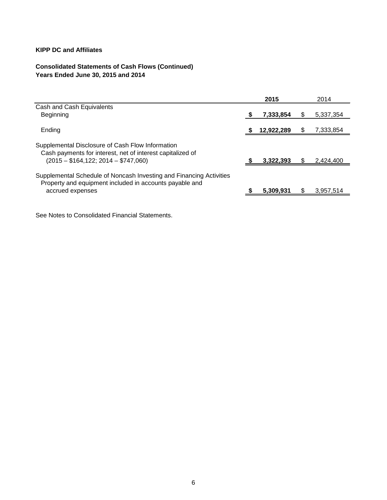# **Consolidated Statements of Cash Flows (Continued) Years Ended June 30, 2015 and 2014**

|   | 2015       |           | 2014      |
|---|------------|-----------|-----------|
|   |            |           |           |
| 5 |            | Ъ         | 5,337,354 |
|   | 12,922,289 |           | 7,333,854 |
|   | 3,322,393  |           | 2,424,400 |
|   | 5.309.931  |           | 3,957,514 |
|   |            | 7,333,854 |           |

See Notes to Consolidated Financial Statements.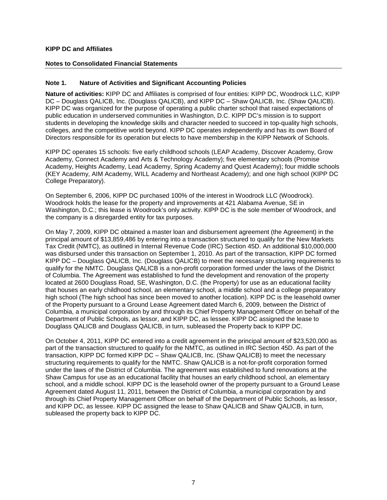## **Notes to Consolidated Financial Statements**

## **Note 1. Nature of Activities and Significant Accounting Policies**

**Nature of activities:** KIPP DC and Affiliates is comprised of four entities: KIPP DC, Woodrock LLC, KIPP DC – Douglass QALICB, Inc. (Douglass QALICB), and KIPP DC – Shaw QALICB, Inc. (Shaw QALICB). KIPP DC was organized for the purpose of operating a public charter school that raised expectations of public education in underserved communities in Washington, D.C. KIPP DC's mission is to support students in developing the knowledge skills and character needed to succeed in top-quality high schools, colleges, and the competitive world beyond. KIPP DC operates independently and has its own Board of Directors responsible for its operation but elects to have membership in the KIPP Network of Schools.

KIPP DC operates 15 schools: five early childhood schools (LEAP Academy, Discover Academy, Grow Academy, Connect Academy and Arts & Technology Academy); five elementary schools (Promise Academy, Heights Academy, Lead Academy, Spring Academy and Quest Academy); four middle schools (KEY Academy, AIM Academy, WILL Academy and Northeast Academy); and one high school (KIPP DC College Preparatory).

On September 6, 2006, KIPP DC purchased 100% of the interest in Woodrock LLC (Woodrock). Woodrock holds the lease for the property and improvements at 421 Alabama Avenue, SE in Washington, D.C.; this lease is Woodrock's only activity. KIPP DC is the sole member of Woodrock, and the company is a disregarded entity for tax purposes.

On May 7, 2009, KIPP DC obtained a master loan and disbursement agreement (the Agreement) in the principal amount of \$13,859,486 by entering into a transaction structured to qualify for the New Markets Tax Credit (NMTC), as outlined in Internal Revenue Code (IRC) Section 45D. An additional \$10,000,000 was disbursed under this transaction on September 1, 2010. As part of the transaction, KIPP DC formed KIPP DC – Douglass QALICB, Inc. (Douglass QALICB) to meet the necessary structuring requirements to qualify for the NMTC. Douglass QALICB is a non-profit corporation formed under the laws of the District of Columbia. The Agreement was established to fund the development and renovation of the property located at 2600 Douglass Road, SE, Washington, D.C. (the Property) for use as an educational facility that houses an early childhood school, an elementary school, a middle school and a college preparatory high school (The high school has since been moved to another location). KIPP DC is the leasehold owner of the Property pursuant to a Ground Lease Agreement dated March 6, 2009, between the District of Columbia, a municipal corporation by and through its Chief Property Management Officer on behalf of the Department of Public Schools, as lessor, and KIPP DC, as lessee. KIPP DC assigned the lease to Douglass QALICB and Douglass QALICB, in turn, subleased the Property back to KIPP DC.

On October 4, 2011, KIPP DC entered into a credit agreement in the principal amount of \$23,520,000 as part of the transaction structured to qualify for the NMTC, as outlined in IRC Section 45D. As part of the transaction, KIPP DC formed KIPP DC – Shaw QALICB, Inc. (Shaw QALICB) to meet the necessary structuring requirements to qualify for the NMTC. Shaw QALICB is a not-for-profit corporation formed under the laws of the District of Columbia. The agreement was established to fund renovations at the Shaw Campus for use as an educational facility that houses an early childhood school, an elementary school, and a middle school. KIPP DC is the leasehold owner of the property pursuant to a Ground Lease Agreement dated August 11, 2011, between the District of Columbia, a municipal corporation by and through its Chief Property Management Officer on behalf of the Department of Public Schools, as lessor, and KIPP DC, as lessee. KIPP DC assigned the lease to Shaw QALICB and Shaw QALICB, in turn, subleased the property back to KIPP DC.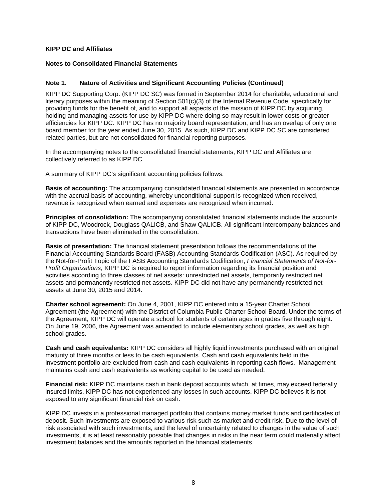## **Notes to Consolidated Financial Statements**

## **Note 1. Nature of Activities and Significant Accounting Policies (Continued)**

KIPP DC Supporting Corp. (KIPP DC SC) was formed in September 2014 for charitable, educational and literary purposes within the meaning of Section 501(c)(3) of the Internal Revenue Code, specifically for providing funds for the benefit of, and to support all aspects of the mission of KIPP DC by acquiring, holding and managing assets for use by KIPP DC where doing so may result in lower costs or greater efficiencies for KIPP DC. KIPP DC has no majority board representation, and has an overlap of only one board member for the year ended June 30, 2015. As such, KIPP DC and KIPP DC SC are considered related parties, but are not consolidated for financial reporting purposes.

In the accompanying notes to the consolidated financial statements, KIPP DC and Affiliates are collectively referred to as KIPP DC.

A summary of KIPP DC's significant accounting policies follows:

**Basis of accounting:** The accompanying consolidated financial statements are presented in accordance with the accrual basis of accounting, whereby unconditional support is recognized when received, revenue is recognized when earned and expenses are recognized when incurred.

**Principles of consolidation:** The accompanying consolidated financial statements include the accounts of KIPP DC, Woodrock, Douglass QALICB, and Shaw QALICB. All significant intercompany balances and transactions have been eliminated in the consolidation.

**Basis of presentation:** The financial statement presentation follows the recommendations of the Financial Accounting Standards Board (FASB) Accounting Standards Codification (ASC). As required by the Not-for-Profit Topic of the FASB Accounting Standards Codification, *Financial Statements of Not-for-Profit Organizations*, KIPP DC is required to report information regarding its financial position and activities according to three classes of net assets: unrestricted net assets, temporarily restricted net assets and permanently restricted net assets. KIPP DC did not have any permanently restricted net assets at June 30, 2015 and 2014.

**Charter school agreement:** On June 4, 2001, KIPP DC entered into a 15-year Charter School Agreement (the Agreement) with the District of Columbia Public Charter School Board. Under the terms of the Agreement, KIPP DC will operate a school for students of certain ages in grades five through eight. On June 19, 2006, the Agreement was amended to include elementary school grades, as well as high school grades.

**Cash and cash equivalents:** KIPP DC considers all highly liquid investments purchased with an original maturity of three months or less to be cash equivalents. Cash and cash equivalents held in the investment portfolio are excluded from cash and cash equivalents in reporting cash flows. Management maintains cash and cash equivalents as working capital to be used as needed.

**Financial risk:** KIPP DC maintains cash in bank deposit accounts which, at times, may exceed federally insured limits. KIPP DC has not experienced any losses in such accounts. KIPP DC believes it is not exposed to any significant financial risk on cash.

KIPP DC invests in a professional managed portfolio that contains money market funds and certificates of deposit. Such investments are exposed to various risk such as market and credit risk. Due to the level of risk associated with such investments, and the level of uncertainty related to changes in the value of such investments, it is at least reasonably possible that changes in risks in the near term could materially affect investment balances and the amounts reported in the financial statements.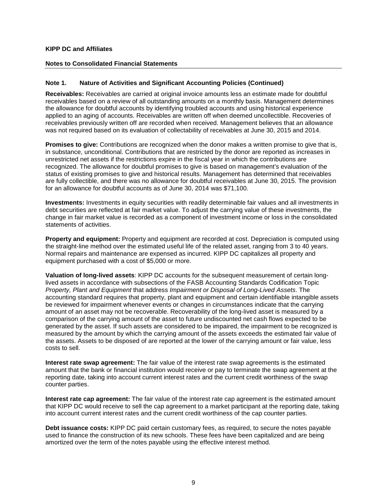#### **Notes to Consolidated Financial Statements**

## **Note 1. Nature of Activities and Significant Accounting Policies (Continued)**

**Receivables:** Receivables are carried at original invoice amounts less an estimate made for doubtful receivables based on a review of all outstanding amounts on a monthly basis. Management determines the allowance for doubtful accounts by identifying troubled accounts and using historical experience applied to an aging of accounts. Receivables are written off when deemed uncollectible. Recoveries of receivables previously written off are recorded when received. Management believes that an allowance was not required based on its evaluation of collectability of receivables at June 30, 2015 and 2014.

**Promises to give:** Contributions are recognized when the donor makes a written promise to give that is, in substance, unconditional. Contributions that are restricted by the donor are reported as increases in unrestricted net assets if the restrictions expire in the fiscal year in which the contributions are recognized. The allowance for doubtful promises to give is based on management's evaluation of the status of existing promises to give and historical results. Management has determined that receivables are fully collectible, and there was no allowance for doubtful receivables at June 30, 2015. The provision for an allowance for doubtful accounts as of June 30, 2014 was \$71,100.

**Investments:** Investments in equity securities with readily determinable fair values and all investments in debt securities are reflected at fair market value. To adjust the carrying value of these investments, the change in fair market value is recorded as a component of investment income or loss in the consolidated statements of activities.

**Property and equipment:** Property and equipment are recorded at cost. Depreciation is computed using the straight-line method over the estimated useful life of the related asset, ranging from 3 to 40 years. Normal repairs and maintenance are expensed as incurred. KIPP DC capitalizes all property and equipment purchased with a cost of \$5,000 or more.

**Valuation of long-lived assets**: KIPP DC accounts for the subsequent measurement of certain longlived assets in accordance with subsections of the FASB Accounting Standards Codification Topic *Property, Plant and Equipment* that address *Impairment or Disposal of Long-Lived Assets*. The accounting standard requires that property, plant and equipment and certain identifiable intangible assets be reviewed for impairment whenever events or changes in circumstances indicate that the carrying amount of an asset may not be recoverable. Recoverability of the long-lived asset is measured by a comparison of the carrying amount of the asset to future undiscounted net cash flows expected to be generated by the asset. If such assets are considered to be impaired, the impairment to be recognized is measured by the amount by which the carrying amount of the assets exceeds the estimated fair value of the assets. Assets to be disposed of are reported at the lower of the carrying amount or fair value, less costs to sell.

**Interest rate swap agreement:** The fair value of the interest rate swap agreements is the estimated amount that the bank or financial institution would receive or pay to terminate the swap agreement at the reporting date, taking into account current interest rates and the current credit worthiness of the swap counter parties.

**Interest rate cap agreement:** The fair value of the interest rate cap agreement is the estimated amount that KIPP DC would receive to sell the cap agreement to a market participant at the reporting date, taking into account current interest rates and the current credit worthiness of the cap counter parties.

**Debt issuance costs:** KIPP DC paid certain customary fees, as required, to secure the notes payable used to finance the construction of its new schools. These fees have been capitalized and are being amortized over the term of the notes payable using the effective interest method.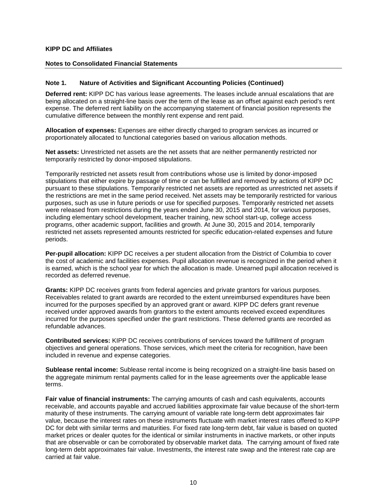#### **Notes to Consolidated Financial Statements**

#### **Note 1. Nature of Activities and Significant Accounting Policies (Continued)**

**Deferred rent:** KIPP DC has various lease agreements. The leases include annual escalations that are being allocated on a straight-line basis over the term of the lease as an offset against each period's rent expense. The deferred rent liability on the accompanying statement of financial position represents the cumulative difference between the monthly rent expense and rent paid.

**Allocation of expenses:** Expenses are either directly charged to program services as incurred or proportionately allocated to functional categories based on various allocation methods.

**Net assets:** Unrestricted net assets are the net assets that are neither permanently restricted nor temporarily restricted by donor-imposed stipulations.

Temporarily restricted net assets result from contributions whose use is limited by donor-imposed stipulations that either expire by passage of time or can be fulfilled and removed by actions of KIPP DC pursuant to these stipulations. Temporarily restricted net assets are reported as unrestricted net assets if the restrictions are met in the same period received. Net assets may be temporarily restricted for various purposes, such as use in future periods or use for specified purposes. Temporarily restricted net assets were released from restrictions during the years ended June 30, 2015 and 2014, for various purposes, including elementary school development, teacher training, new school start-up, college access programs, other academic support, facilities and growth. At June 30, 2015 and 2014, temporarily restricted net assets represented amounts restricted for specific education-related expenses and future periods.

**Per-pupil allocation:** KIPP DC receives a per student allocation from the District of Columbia to cover the cost of academic and facilities expenses. Pupil allocation revenue is recognized in the period when it is earned, which is the school year for which the allocation is made. Unearned pupil allocation received is recorded as deferred revenue.

**Grants:** KIPP DC receives grants from federal agencies and private grantors for various purposes. Receivables related to grant awards are recorded to the extent unreimbursed expenditures have been incurred for the purposes specified by an approved grant or award. KIPP DC defers grant revenue received under approved awards from grantors to the extent amounts received exceed expenditures incurred for the purposes specified under the grant restrictions. These deferred grants are recorded as refundable advances.

**Contributed services:** KIPP DC receives contributions of services toward the fulfillment of program objectives and general operations. Those services, which meet the criteria for recognition, have been included in revenue and expense categories.

**Sublease rental income:** Sublease rental income is being recognized on a straight-line basis based on the aggregate minimum rental payments called for in the lease agreements over the applicable lease terms.

**Fair value of financial instruments:** The carrying amounts of cash and cash equivalents, accounts receivable, and accounts payable and accrued liabilities approximate fair value because of the short-term maturity of these instruments. The carrying amount of variable rate long-term debt approximates fair value, because the interest rates on these instruments fluctuate with market interest rates offered to KIPP DC for debt with similar terms and maturities. For fixed rate long-term debt, fair value is based on quoted market prices or dealer quotes for the identical or similar instruments in inactive markets, or other inputs that are observable or can be corroborated by observable market data. The carrying amount of fixed rate long-term debt approximates fair value. Investments, the interest rate swap and the interest rate cap are carried at fair value.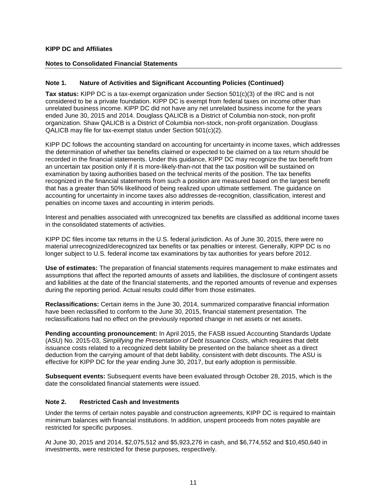## **Notes to Consolidated Financial Statements**

## **Note 1. Nature of Activities and Significant Accounting Policies (Continued)**

**Tax status:** KIPP DC is a tax-exempt organization under Section 501(c)(3) of the IRC and is not considered to be a private foundation. KIPP DC is exempt from federal taxes on income other than unrelated business income. KIPP DC did not have any net unrelated business income for the years ended June 30, 2015 and 2014. Douglass QALICB is a District of Columbia non-stock, non-profit organization. Shaw QALICB is a District of Columbia non-stock, non-profit organization. Douglass QALICB may file for tax-exempt status under Section 501(c)(2).

KIPP DC follows the accounting standard on accounting for uncertainty in income taxes, which addresses the determination of whether tax benefits claimed or expected to be claimed on a tax return should be recorded in the financial statements. Under this guidance, KIPP DC may recognize the tax benefit from an uncertain tax position only if it is more-likely-than-not that the tax position will be sustained on examination by taxing authorities based on the technical merits of the position. The tax benefits recognized in the financial statements from such a position are measured based on the largest benefit that has a greater than 50% likelihood of being realized upon ultimate settlement. The guidance on accounting for uncertainty in income taxes also addresses de-recognition, classification, interest and penalties on income taxes and accounting in interim periods.

Interest and penalties associated with unrecognized tax benefits are classified as additional income taxes in the consolidated statements of activities.

KIPP DC files income tax returns in the U.S. federal jurisdiction. As of June 30, 2015, there were no material unrecognized/derecognized tax benefits or tax penalties or interest. Generally, KIPP DC is no longer subject to U.S. federal income tax examinations by tax authorities for years before 2012.

**Use of estimates:** The preparation of financial statements requires management to make estimates and assumptions that affect the reported amounts of assets and liabilities, the disclosure of contingent assets and liabilities at the date of the financial statements, and the reported amounts of revenue and expenses during the reporting period. Actual results could differ from those estimates.

**Reclassifications:** Certain items in the June 30, 2014, summarized comparative financial information have been reclassified to conform to the June 30, 2015, financial statement presentation. The reclassifications had no effect on the previously reported change in net assets or net assets.

**Pending accounting pronouncement:** In April 2015, the FASB issued Accounting Standards Update (ASU) No. 2015-03, *Simplifying the Presentation of Debt Issuance Costs*, which requires that debt issuance costs related to a recognized debt liability be presented on the balance sheet as a direct deduction from the carrying amount of that debt liability, consistent with debt discounts. The ASU is effective for KIPP DC for the year ending June 30, 2017, but early adoption is permissible.

**Subsequent events:** Subsequent events have been evaluated through October 28, 2015, which is the date the consolidated financial statements were issued.

## **Note 2. Restricted Cash and Investments**

Under the terms of certain notes payable and construction agreements, KIPP DC is required to maintain minimum balances with financial institutions. In addition, unspent proceeds from notes payable are restricted for specific purposes.

At June 30, 2015 and 2014, \$2,075,512 and \$5,923,276 in cash, and \$6,774,552 and \$10,450,640 in investments, were restricted for these purposes, respectively.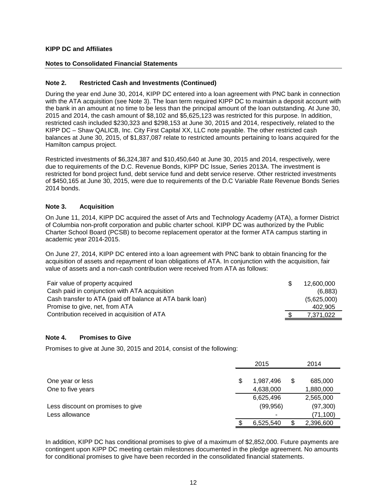## **Notes to Consolidated Financial Statements**

## **Note 2. Restricted Cash and Investments (Continued)**

During the year end June 30, 2014, KIPP DC entered into a loan agreement with PNC bank in connection with the ATA acquisition (see Note 3). The loan term required KIPP DC to maintain a deposit account with the bank in an amount at no time to be less than the principal amount of the loan outstanding. At June 30, 2015 and 2014, the cash amount of \$8,102 and \$5,625,123 was restricted for this purpose. In addition, restricted cash included \$230,323 and \$298,153 at June 30, 2015 and 2014, respectively, related to the KIPP DC – Shaw QALICB, Inc. City First Capital XX, LLC note payable. The other restricted cash balances at June 30, 2015, of \$1,837,087 relate to restricted amounts pertaining to loans acquired for the Hamilton campus project.

Restricted investments of \$6,324,387 and \$10,450,640 at June 30, 2015 and 2014, respectively, were due to requirements of the D.C. Revenue Bonds, KIPP DC Issue, Series 2013A. The investment is restricted for bond project fund, debt service fund and debt service reserve. Other restricted investments of \$450,165 at June 30, 2015, were due to requirements of the D.C Variable Rate Revenue Bonds Series 2014 bonds.

## **Note 3. Acquisition**

On June 11, 2014, KIPP DC acquired the asset of Arts and Technology Academy (ATA), a former District of Columbia non-profit corporation and public charter school. KIPP DC was authorized by the Public Charter School Board (PCSB) to become replacement operator at the former ATA campus starting in academic year 2014-2015.

On June 27, 2014, KIPP DC entered into a loan agreement with PNC bank to obtain financing for the acquisition of assets and repayment of loan obligations of ATA. In conjunction with the acquisition, fair value of assets and a non-cash contribution were received from ATA as follows:

| Fair value of property acquired                          | 12,600,000  |
|----------------------------------------------------------|-------------|
| Cash paid in conjunction with ATA acquisition            | (6,883)     |
| Cash transfer to ATA (paid off balance at ATA bank loan) | (5,625,000) |
| Promise to give, net, from ATA                           | 402.905     |
| Contribution received in acquisition of ATA              | 7,371,022   |

## **Note 4. Promises to Give**

Promises to give at June 30, 2015 and 2014, consist of the following:

|                                   | 2015                     | 2014          |
|-----------------------------------|--------------------------|---------------|
|                                   |                          |               |
| One year or less                  | 1,987,496                | \$<br>685,000 |
| One to five years                 | 4,638,000                | 1,880,000     |
|                                   | 6,625,496                | 2,565,000     |
| Less discount on promises to give | (99, 956)                | (97, 300)     |
| Less allowance                    | $\overline{\phantom{0}}$ | (71, 100)     |
|                                   | 6,525,540                | 2,396,600     |

In addition, KIPP DC has conditional promises to give of a maximum of \$2,852,000. Future payments are contingent upon KIPP DC meeting certain milestones documented in the pledge agreement. No amounts for conditional promises to give have been recorded in the consolidated financial statements.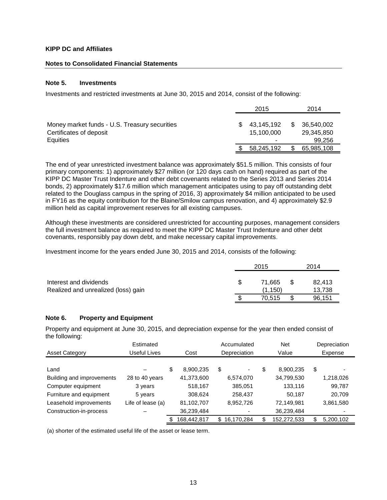#### **Notes to Consolidated Financial Statements**

#### **Note 5. Investments**

Investments and restricted investments at June 30, 2015 and 2014, consist of the following:

|                                                                                      | 2015                                       |   | 2014                               |
|--------------------------------------------------------------------------------------|--------------------------------------------|---|------------------------------------|
| Money market funds - U.S. Treasury securities<br>Certificates of deposit<br>Equities | 43.145.192<br>15.100.000<br>$\blacksquare$ | S | 36,540,002<br>29,345,850<br>99,256 |
|                                                                                      | 58,245,192                                 |   | 65,985,108                         |

The end of year unrestricted investment balance was approximately \$51.5 million. This consists of four primary components: 1) approximately \$27 million (or 120 days cash on hand) required as part of the KIPP DC Master Trust Indenture and other debt covenants related to the Series 2013 and Series 2014 bonds, 2) approximately \$17.6 million which management anticipates using to pay off outstanding debt related to the Douglass campus in the spring of 2016, 3) approximately \$4 million anticipated to be used in FY16 as the equity contribution for the Blaine/Smilow campus renovation, and 4) approximately \$2.9 million held as capital improvement reserves for all existing campuses.

Although these investments are considered unrestricted for accounting purposes, management considers the full investment balance as required to meet the KIPP DC Master Trust Indenture and other debt covenants, responsibly pay down debt, and make necessary capital improvements.

Investment income for the years ended June 30, 2015 and 2014, consists of the following:

|                                                               | 2015              | 2014             |
|---------------------------------------------------------------|-------------------|------------------|
| Interest and dividends<br>Realized and unrealized (loss) gain | 71.665<br>(1.150) | 82.413<br>13,738 |
|                                                               | 70.515            | 96,151           |

## **Note 6. Property and Equipment**

Property and equipment at June 30, 2015, and depreciation expense for the year then ended consist of the following:

|                           | Estimated         |                   |              | Accumulated | <b>Net</b>      | Depreciation    |
|---------------------------|-------------------|-------------------|--------------|-------------|-----------------|-----------------|
| <b>Asset Category</b>     | Useful Lives      | Cost              | Depreciation |             | Value           | Expense         |
|                           |                   |                   |              |             |                 |                 |
| Land                      |                   | \$<br>8,900,235   | \$           | -           | \$<br>8.900.235 | \$              |
| Building and improvements | 28 to 40 years    | 41,373,600        |              | 6,574,070   | 34,799,530      | 1,218,026       |
| Computer equipment        | 3 years           | 518,167           |              | 385,051     | 133,116         | 99,787          |
| Furniture and equipment   | 5 years           | 308.624           |              | 258,437     | 50,187          | 20,709          |
| Leasehold improvements    | Life of lease (a) | 81,102,707        |              | 8,952,726   | 72,149,981      | 3,861,580       |
| Construction-in-process   |                   | 36,239,484        |              |             | 36,239,484      |                 |
|                           |                   | \$<br>168,442,817 | \$           | 16,170,284  | 152,272,533     | \$<br>5,200,102 |

(a) shorter of the estimated useful life of the asset or lease term.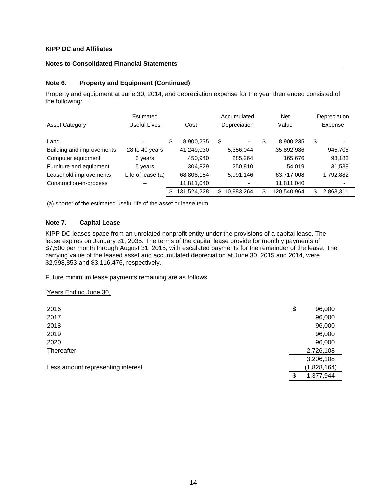## **Notes to Consolidated Financial Statements**

## **Note 6. Property and Equipment (Continued)**

Property and equipment at June 30, 2014, and depreciation expense for the year then ended consisted of the following:

|                           | Estimated         |      |             |              | Accumulated |     | <b>Net</b>  | Depreciation    |       |         |
|---------------------------|-------------------|------|-------------|--------------|-------------|-----|-------------|-----------------|-------|---------|
| <b>Asset Category</b>     | Useful Lives      | Cost |             | Depreciation |             |     |             |                 | Value | Expense |
|                           |                   |      |             |              |             |     |             |                 |       |         |
| Land                      |                   | \$   | 8,900,235   | \$           | -           | S   | 8.900.235   | \$              |       |         |
| Building and improvements | 28 to 40 years    |      | 41,249,030  |              | 5,356,044   |     | 35,892,986  | 945,708         |       |         |
| Computer equipment        | 3 years           |      | 450.940     |              | 285,264     |     | 165,676     | 93,183          |       |         |
| Furniture and equipment   | 5 years           |      | 304.829     |              | 250,810     |     | 54.019      | 31,538          |       |         |
| Leasehold improvements    | Life of lease (a) |      | 68,808,154  |              | 5,091,146   |     | 63,717,008  | 1,792,882       |       |         |
| Construction-in-process   |                   |      | 11,811,040  |              |             |     | 11,811,040  |                 |       |         |
|                           |                   | \$   | 131,524,228 | \$.          | 10,983,264  | \$. | 120,540,964 | \$<br>2,863,311 |       |         |

(a) shorter of the estimated useful life of the asset or lease term.

## **Note 7. Capital Lease**

KIPP DC leases space from an unrelated nonprofit entity under the provisions of a capital lease. The lease expires on January 31, 2035. The terms of the capital lease provide for monthly payments of \$7,500 per month through August 31, 2015, with escalated payments for the remainder of the lease. The carrying value of the leased asset and accumulated depreciation at June 30, 2015 and 2014, were \$2,998,853 and \$3,116,476, respectively.

Future minimum lease payments remaining are as follows:

## Years Ending June 30,

| 2016                              | \$ | 96,000      |
|-----------------------------------|----|-------------|
| 2017                              |    | 96,000      |
| 2018                              |    | 96,000      |
| 2019                              |    | 96,000      |
| 2020                              |    | 96,000      |
| Thereafter                        |    | 2,726,108   |
|                                   |    | 3,206,108   |
| Less amount representing interest |    | (1,828,164) |
|                                   | ጥ  | 1,377,944   |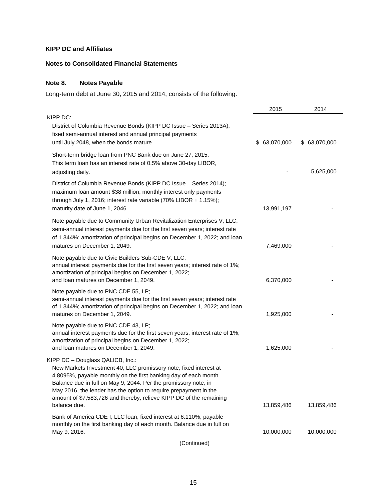# **Notes to Consolidated Financial Statements**

# **Note 8. Notes Payable**

Long-term debt at June 30, 2015 and 2014, consists of the following:

|                                                                                                                                                                                                                                                                                                                                                                                                         | 2015          | 2014          |
|---------------------------------------------------------------------------------------------------------------------------------------------------------------------------------------------------------------------------------------------------------------------------------------------------------------------------------------------------------------------------------------------------------|---------------|---------------|
| KIPP DC:<br>District of Columbia Revenue Bonds (KIPP DC Issue - Series 2013A);<br>fixed semi-annual interest and annual principal payments<br>until July 2048, when the bonds mature.                                                                                                                                                                                                                   | \$ 63,070,000 | \$ 63,070,000 |
| Short-term bridge loan from PNC Bank due on June 27, 2015.<br>This term loan has an interest rate of 0.5% above 30-day LIBOR,<br>adjusting daily.                                                                                                                                                                                                                                                       |               | 5,625,000     |
| District of Columbia Revenue Bonds (KIPP DC Issue - Series 2014);<br>maximum loan amount \$38 million; monthly interest only payments<br>through July 1, 2016; interest rate variable (70% LIBOR + 1.15%);<br>maturity date of June 1, 2046.                                                                                                                                                            | 13,991,197    |               |
| Note payable due to Community Urban Revitalization Enterprises V, LLC;<br>semi-annual interest payments due for the first seven years; interest rate<br>of 1.344%; amortization of principal begins on December 1, 2022; and loan<br>matures on December 1, 2049.                                                                                                                                       | 7,469,000     |               |
| Note payable due to Civic Builders Sub-CDE V, LLC;<br>annual interest payments due for the first seven years; interest rate of 1%;<br>amortization of principal begins on December 1, 2022;<br>and loan matures on December 1, 2049.                                                                                                                                                                    | 6,370,000     |               |
| Note payable due to PNC CDE 55, LP;<br>semi-annual interest payments due for the first seven years; interest rate<br>of 1.344%; amortization of principal begins on December 1, 2022; and loan<br>matures on December 1, 2049.                                                                                                                                                                          | 1,925,000     |               |
| Note payable due to PNC CDE 43, LP;<br>annual interest payments due for the first seven years; interest rate of 1%;<br>amortization of principal begins on December 1, 2022;<br>and loan matures on December 1, 2049.                                                                                                                                                                                   | 1,625,000     |               |
| KIPP DC - Douglass QALICB, Inc.:<br>New Markets Investment 40, LLC promissory note, fixed interest at<br>4.8095%, payable monthly on the first banking day of each month.<br>Balance due in full on May 9, 2044. Per the promissory note, in<br>May 2016, the lender has the option to require prepayment in the<br>amount of \$7,583,726 and thereby, relieve KIPP DC of the remaining<br>balance due. | 13,859,486    | 13,859,486    |
| Bank of America CDE I, LLC loan, fixed interest at 6.110%, payable<br>monthly on the first banking day of each month. Balance due in full on<br>May 9, 2016.<br>(Continued)                                                                                                                                                                                                                             | 10,000,000    | 10,000,000    |
|                                                                                                                                                                                                                                                                                                                                                                                                         |               |               |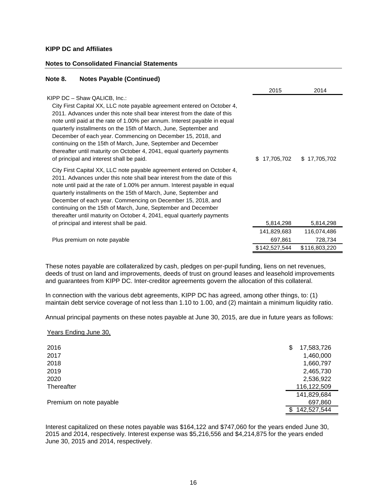## **Notes to Consolidated Financial Statements**

| Note 8.<br><b>Notes Payable (Continued)</b>                                                                                                                                                                                                                                                                                                                                                                                                                                                                                                                                                |                  |               |  |
|--------------------------------------------------------------------------------------------------------------------------------------------------------------------------------------------------------------------------------------------------------------------------------------------------------------------------------------------------------------------------------------------------------------------------------------------------------------------------------------------------------------------------------------------------------------------------------------------|------------------|---------------|--|
|                                                                                                                                                                                                                                                                                                                                                                                                                                                                                                                                                                                            | 2015             | 2014          |  |
| KIPP DC - Shaw QALICB, Inc.:<br>City First Capital XX, LLC note payable agreement entered on October 4,<br>2011. Advances under this note shall bear interest from the date of this<br>note until paid at the rate of 1.00% per annum. Interest payable in equal<br>quarterly installments on the 15th of March, June, September and<br>December of each year. Commencing on December 15, 2018, and<br>continuing on the 15th of March, June, September and December<br>thereafter until maturity on October 4, 2041, equal quarterly payments<br>of principal and interest shall be paid. | \$<br>17,705,702 | \$17,705,702  |  |
| City First Capital XX, LLC note payable agreement entered on October 4,<br>2011. Advances under this note shall bear interest from the date of this<br>note until paid at the rate of 1.00% per annum. Interest payable in equal<br>quarterly installments on the 15th of March, June, September and<br>December of each year. Commencing on December 15, 2018, and<br>continuing on the 15th of March, June, September and December<br>thereafter until maturity on October 4, 2041, equal quarterly payments                                                                             |                  |               |  |
| of principal and interest shall be paid.                                                                                                                                                                                                                                                                                                                                                                                                                                                                                                                                                   | 5,814,298        | 5,814,298     |  |
|                                                                                                                                                                                                                                                                                                                                                                                                                                                                                                                                                                                            | 141,829,683      | 116,074,486   |  |
| Plus premium on note payable                                                                                                                                                                                                                                                                                                                                                                                                                                                                                                                                                               | 697,861          | 728,734       |  |
|                                                                                                                                                                                                                                                                                                                                                                                                                                                                                                                                                                                            | \$142,527,544    | \$116,803,220 |  |

These notes payable are collateralized by cash, pledges on per-pupil funding, liens on net revenues, deeds of trust on land and improvements, deeds of trust on ground leases and leasehold improvements and guarantees from KIPP DC. Inter-creditor agreements govern the allocation of this collateral.

In connection with the various debt agreements, KIPP DC has agreed, among other things, to: (1) maintain debt service coverage of not less than 1.10 to 1.00, and (2) maintain a minimum liquidity ratio.

Annual principal payments on these notes payable at June 30, 2015, are due in future years as follows:

#### Years Ending June 30,

| 2016                    | \$  | 17,583,726  |
|-------------------------|-----|-------------|
| 2017                    |     | 1,460,000   |
| 2018                    |     | 1,660,797   |
| 2019                    |     | 2,465,730   |
| 2020                    |     | 2,536,922   |
| Thereafter              |     | 116,122,509 |
|                         |     | 141,829,684 |
| Premium on note payable |     | 697,860     |
|                         | \$. | 142,527,544 |

Interest capitalized on these notes payable was \$164,122 and \$747,060 for the years ended June 30, 2015 and 2014, respectively. Interest expense was \$5,216,556 and \$4,214,875 for the years ended June 30, 2015 and 2014, respectively.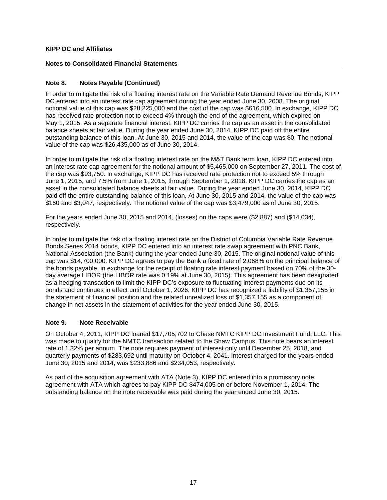## **Notes to Consolidated Financial Statements**

## **Note 8. Notes Payable (Continued)**

In order to mitigate the risk of a floating interest rate on the Variable Rate Demand Revenue Bonds, KIPP DC entered into an interest rate cap agreement during the year ended June 30, 2008. The original notional value of this cap was \$28,225,000 and the cost of the cap was \$616,500. In exchange, KIPP DC has received rate protection not to exceed 4% through the end of the agreement, which expired on May 1, 2015. As a separate financial interest, KIPP DC carries the cap as an asset in the consolidated balance sheets at fair value. During the year ended June 30, 2014, KIPP DC paid off the entire outstanding balance of this loan. At June 30, 2015 and 2014, the value of the cap was \$0. The notional value of the cap was \$26,435,000 as of June 30, 2014.

In order to mitigate the risk of a floating interest rate on the M&T Bank term loan, KIPP DC entered into an interest rate cap agreement for the notional amount of \$5,465,000 on September 27, 2011. The cost of the cap was \$93,750. In exchange, KIPP DC has received rate protection not to exceed 5% through June 1, 2015, and 7.5% from June 1, 2015, through September 1, 2018. KIPP DC carries the cap as an asset in the consolidated balance sheets at fair value. During the year ended June 30, 2014, KIPP DC paid off the entire outstanding balance of this loan. At June 30, 2015 and 2014, the value of the cap was \$160 and \$3,047, respectively. The notional value of the cap was \$3,479,000 as of June 30, 2015.

For the years ended June 30, 2015 and 2014, (losses) on the caps were (\$2,887) and (\$14,034), respectively.

In order to mitigate the risk of a floating interest rate on the District of Columbia Variable Rate Revenue Bonds Series 2014 bonds, KIPP DC entered into an interest rate swap agreement with PNC Bank, National Association (the Bank) during the year ended June 30, 2015. The original notional value of this cap was \$14,700,000. KIPP DC agrees to pay the Bank a fixed rate of 2.068% on the principal balance of the bonds payable, in exchange for the receipt of floating rate interest payment based on 70% of the 30 day average LIBOR (the LIBOR rate was 0.19% at June 30, 2015). This agreement has been designated as a hedging transaction to limit the KIPP DC's exposure to fluctuating interest payments due on its bonds and continues in effect until October 1, 2026. KIPP DC has recognized a liability of \$1,357,155 in the statement of financial position and the related unrealized loss of \$1,357,155 as a component of change in net assets in the statement of activities for the year ended June 30, 2015.

## **Note 9. Note Receivable**

On October 4, 2011, KIPP DC loaned \$17,705,702 to Chase NMTC KIPP DC Investment Fund, LLC. This was made to qualify for the NMTC transaction related to the Shaw Campus. This note bears an interest rate of 1.32% per annum. The note requires payment of interest only until December 25, 2018, and quarterly payments of \$283,692 until maturity on October 4, 2041. Interest charged for the years ended June 30, 2015 and 2014, was \$233,886 and \$234,053, respectively.

As part of the acquisition agreement with ATA (Note 3), KIPP DC entered into a promissory note agreement with ATA which agrees to pay KIPP DC \$474,005 on or before November 1, 2014. The outstanding balance on the note receivable was paid during the year ended June 30, 2015.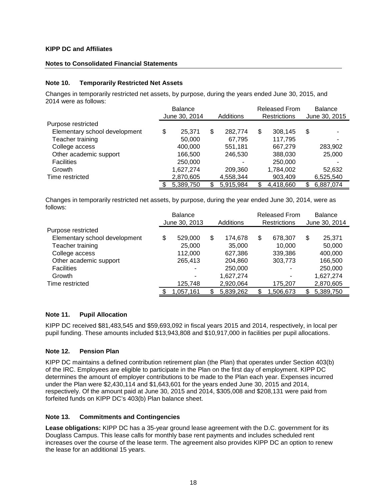## **Notes to Consolidated Financial Statements**

## **Note 10. Temporarily Restricted Net Assets**

Changes in temporarily restricted net assets, by purpose, during the years ended June 30, 2015, and 2014 were as follows:

|                               | <b>Balance</b> |               |                     | <b>Released From</b> | <b>Balance</b> |               |  |  |
|-------------------------------|----------------|---------------|---------------------|----------------------|----------------|---------------|--|--|
|                               | June 30, 2014  | Additions     | <b>Restrictions</b> |                      |                | June 30, 2015 |  |  |
| Purpose restricted            |                |               |                     |                      |                |               |  |  |
| Elementary school development | \$<br>25.371   | \$<br>282.774 | \$                  | 308,145              | \$             |               |  |  |
| Teacher training              | 50,000         | 67.795        |                     | 117.795              |                |               |  |  |
| College access                | 400,000        | 551,181       |                     | 667.279              |                | 283,902       |  |  |
| Other academic support        | 166.500        | 246,530       |                     | 388,030              |                | 25,000        |  |  |
| <b>Facilities</b>             | 250,000        | ۰             |                     | 250,000              |                |               |  |  |
| Growth                        | 1,627,274      | 209,360       |                     | 1,784,002            |                | 52,632        |  |  |
| Time restricted               | 2,870,605      | 4,558,344     |                     | 903,409              |                | 6,525,540     |  |  |
|                               | 5,389,750      | 5,915,984     |                     | 4,418,660            | \$             | 6,887,074     |  |  |

Changes in temporarily restricted net assets, by purpose, during the year ended June 30, 2014, were as follows:

|                               | <b>Balance</b> |               |                     | <b>Released From</b> | <b>Balance</b> |               |  |  |
|-------------------------------|----------------|---------------|---------------------|----------------------|----------------|---------------|--|--|
|                               | June 30, 2013  | Additions     | <b>Restrictions</b> |                      |                | June 30, 2014 |  |  |
| Purpose restricted            |                |               |                     |                      |                |               |  |  |
| Elementary school development | \$<br>529,000  | \$<br>174.678 | \$                  | 678,307              | \$             | 25,371        |  |  |
| Teacher training              | 25,000         | 35,000        |                     | 10,000               |                | 50,000        |  |  |
| College access                | 112.000        | 627,386       |                     | 339,386              |                | 400,000       |  |  |
| Other academic support        | 265,413        | 204,860       |                     | 303,773              |                | 166,500       |  |  |
| <b>Facilities</b>             |                | 250,000       |                     | ٠                    |                | 250,000       |  |  |
| Growth                        | -              | 1,627,274     |                     | ۰                    |                | 1,627,274     |  |  |
| Time restricted               | 125,748        | 2,920,064     |                     | 175,207              |                | 2,870,605     |  |  |
|                               | 1,057,161      | 5,839,262     |                     | 1,506,673            | S              | 5,389,750     |  |  |

## **Note 11. Pupil Allocation**

KIPP DC received \$81,483,545 and \$59,693,092 in fiscal years 2015 and 2014, respectively, in local per pupil funding. These amounts included \$13,943,808 and \$10,917,000 in facilities per pupil allocations.

## **Note 12. Pension Plan**

KIPP DC maintains a defined contribution retirement plan (the Plan) that operates under Section 403(b) of the IRC. Employees are eligible to participate in the Plan on the first day of employment. KIPP DC determines the amount of employer contributions to be made to the Plan each year. Expenses incurred under the Plan were \$2,430,114 and \$1,643,601 for the years ended June 30, 2015 and 2014, respectively. Of the amount paid at June 30, 2015 and 2014, \$305,008 and \$208,131 were paid from forfeited funds on KIPP DC's 403(b) Plan balance sheet.

## **Note 13. Commitments and Contingencies**

**Lease obligations:** KIPP DC has a 35-year ground lease agreement with the D.C. government for its Douglass Campus. This lease calls for monthly base rent payments and includes scheduled rent increases over the course of the lease term. The agreement also provides KIPP DC an option to renew the lease for an additional 15 years.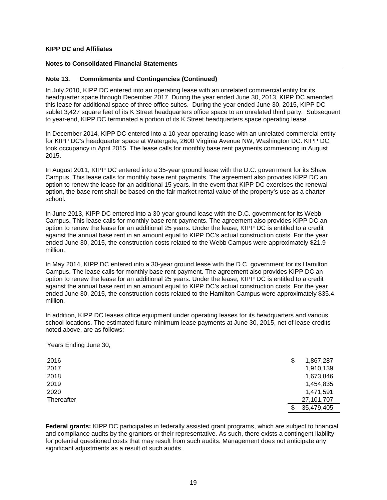#### **Notes to Consolidated Financial Statements**

#### **Note 13. Commitments and Contingencies (Continued)**

In July 2010, KIPP DC entered into an operating lease with an unrelated commercial entity for its headquarter space through December 2017. During the year ended June 30, 2013, KIPP DC amended this lease for additional space of three office suites. During the year ended June 30, 2015, KIPP DC sublet 3.427 square feet of its K Street headquarters office space to an unrelated third party. Subsequent to year-end, KIPP DC terminated a portion of its K Street headquarters space operating lease.

In December 2014, KIPP DC entered into a 10-year operating lease with an unrelated commercial entity for KIPP DC's headquarter space at Watergate, 2600 Virginia Avenue NW, Washington DC. KIPP DC took occupancy in April 2015. The lease calls for monthly base rent payments commencing in August 2015.

In August 2011, KIPP DC entered into a 35-year ground lease with the D.C. government for its Shaw Campus. This lease calls for monthly base rent payments. The agreement also provides KIPP DC an option to renew the lease for an additional 15 years. In the event that KIPP DC exercises the renewal option, the base rent shall be based on the fair market rental value of the property's use as a charter school.

In June 2013, KIPP DC entered into a 30-year ground lease with the D.C. government for its Webb Campus. This lease calls for monthly base rent payments. The agreement also provides KIPP DC an option to renew the lease for an additional 25 years. Under the lease, KIPP DC is entitled to a credit against the annual base rent in an amount equal to KIPP DC's actual construction costs. For the year ended June 30, 2015, the construction costs related to the Webb Campus were approximately \$21.9 million.

In May 2014, KIPP DC entered into a 30-year ground lease with the D.C. government for its Hamilton Campus. The lease calls for monthly base rent payment. The agreement also provides KIPP DC an option to renew the lease for an additional 25 years. Under the lease, KIPP DC is entitled to a credit against the annual base rent in an amount equal to KIPP DC's actual construction costs. For the year ended June 30, 2015, the construction costs related to the Hamilton Campus were approximately \$35.4 million.

In addition, KIPP DC leases office equipment under operating leases for its headquarters and various school locations. The estimated future minimum lease payments at June 30, 2015, net of lease credits noted above, are as follows:

#### Years Ending June 30,

| 2016       | \$<br>1,867,287 |
|------------|-----------------|
| 2017       | 1,910,139       |
| 2018       | 1,673,846       |
| 2019       | 1,454,835       |
| 2020       | 1,471,591       |
| Thereafter | 27,101,707      |
|            | 35,479,405      |

**Federal grants:** KIPP DC participates in federally assisted grant programs, which are subject to financial and compliance audits by the grantors or their representative. As such, there exists a contingent liability for potential questioned costs that may result from such audits. Management does not anticipate any significant adjustments as a result of such audits.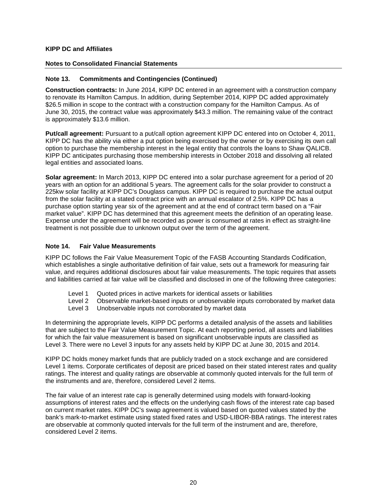## **Notes to Consolidated Financial Statements**

## **Note 13. Commitments and Contingencies (Continued)**

**Construction contracts:** In June 2014, KIPP DC entered in an agreement with a construction company to renovate its Hamilton Campus. In addition, during September 2014, KIPP DC added approximately \$26.5 million in scope to the contract with a construction company for the Hamilton Campus. As of June 30, 2015, the contract value was approximately \$43.3 million. The remaining value of the contract is approximately \$13.6 million.

**Put/call agreement:** Pursuant to a put/call option agreement KIPP DC entered into on October 4, 2011, KIPP DC has the ability via either a put option being exercised by the owner or by exercising its own call option to purchase the membership interest in the legal entity that controls the loans to Shaw QALICB. KIPP DC anticipates purchasing those membership interests in October 2018 and dissolving all related legal entities and associated loans.

**Solar agreement:** In March 2013, KIPP DC entered into a solar purchase agreement for a period of 20 years with an option for an additional 5 years. The agreement calls for the solar provider to construct a 225kw solar facility at KIPP DC's Douglass campus. KIPP DC is required to purchase the actual output from the solar facility at a stated contract price with an annual escalator of 2.5%. KIPP DC has a purchase option starting year six of the agreement and at the end of contract term based on a "Fair market value". KIPP DC has determined that this agreement meets the definition of an operating lease. Expense under the agreement will be recorded as power is consumed at rates in effect as straight-line treatment is not possible due to unknown output over the term of the agreement.

## **Note 14. Fair Value Measurements**

KIPP DC follows the Fair Value Measurement Topic of the FASB Accounting Standards Codification, which establishes a single authoritative definition of fair value, sets out a framework for measuring fair value, and requires additional disclosures about fair value measurements. The topic requires that assets and liabilities carried at fair value will be classified and disclosed in one of the following three categories:

- Level 1 Quoted prices in active markets for identical assets or liabilities
- Level 2 Observable market-based inputs or unobservable inputs corroborated by market data
- Level 3 Unobservable inputs not corroborated by market data

In determining the appropriate levels, KIPP DC performs a detailed analysis of the assets and liabilities that are subject to the Fair Value Measurement Topic. At each reporting period, all assets and liabilities for which the fair value measurement is based on significant unobservable inputs are classified as Level 3. There were no Level 3 inputs for any assets held by KIPP DC at June 30, 2015 and 2014.

KIPP DC holds money market funds that are publicly traded on a stock exchange and are considered Level 1 items. Corporate certificates of deposit are priced based on their stated interest rates and quality ratings. The interest and quality ratings are observable at commonly quoted intervals for the full term of the instruments and are, therefore, considered Level 2 items.

The fair value of an interest rate cap is generally determined using models with forward-looking assumptions of interest rates and the effects on the underlying cash flows of the interest rate cap based on current market rates. KIPP DC's swap agreement is valued based on quoted values stated by the bank's mark-to-market estimate using stated fixed rates and USD-LIBOR-BBA ratings. The interest rates are observable at commonly quoted intervals for the full term of the instrument and are, therefore, considered Level 2 items.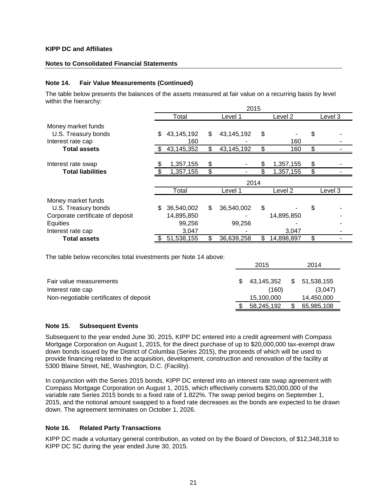## **Notes to Consolidated Financial Statements**

## **Note 14. Fair Value Measurements (Continued)**

The table below presents the balances of the assets measured at fair value on a recurring basis by level within the hierarchy:

|                                  |     | 2015       |    |            |    |            |    |         |  |  |  |
|----------------------------------|-----|------------|----|------------|----|------------|----|---------|--|--|--|
|                                  |     | Total      |    | Level 1    |    | Level 2    |    | Level 3 |  |  |  |
| Money market funds               |     |            |    |            |    |            |    |         |  |  |  |
| U.S. Treasury bonds              | \$  | 43,145,192 | \$ | 43,145,192 | \$ |            | \$ |         |  |  |  |
| Interest rate cap                |     | 160        |    |            |    | 160        |    |         |  |  |  |
| <b>Total assets</b>              |     | 43,145,352 | \$ | 43,145,192 |    | 160        | \$ |         |  |  |  |
|                                  |     |            |    |            |    |            |    |         |  |  |  |
| Interest rate swap               |     | 1,357,155  | \$ |            | \$ | 1,357,155  | \$ |         |  |  |  |
| <b>Total liabilities</b>         |     | 1,357,155  | \$ |            |    | 1,357,155  | \$ |         |  |  |  |
|                                  |     |            |    | 2014       |    |            |    |         |  |  |  |
|                                  |     | Total      |    | Level 1    |    | Level 2    |    | Level 3 |  |  |  |
| Money market funds               |     |            |    |            |    |            |    |         |  |  |  |
| U.S. Treasury bonds              | \$  | 36,540,002 | \$ | 36,540,002 | \$ |            | \$ |         |  |  |  |
| Corporate certificate of deposit |     | 14,895,850 |    |            |    | 14,895,850 |    |         |  |  |  |
| Equities                         |     | 99,256     |    | 99,256     |    |            |    |         |  |  |  |
| Interest rate cap                |     | 3,047      |    |            |    | 3,047      |    |         |  |  |  |
| <b>Total assets</b>              | \$. | 51,538,155 | \$ | 36,639,258 | \$ | 14,898,897 | \$ |         |  |  |  |

The table below reconciles total investments per Note 14 above:

|                                        | 2015       |    | 2014       |
|----------------------------------------|------------|----|------------|
|                                        |            |    |            |
| Fair value measurements                | 43,145,352 | S. | 51,538,155 |
| Interest rate cap                      | (160)      |    | (3.047)    |
| Non-negotiable certificates of deposit | 15,100,000 |    | 14,450,000 |
|                                        | 58,245,192 | \$ | 65,985,108 |

## **Note 15. Subsequent Events**

Subsequent to the year ended June 30, 2015, KIPP DC entered into a credit agreement with Compass Mortgage Corporation on August 1, 2015, for the direct purchase of up to \$20,000,000 tax-exempt draw down bonds issued by the District of Columbia (Series 2015), the proceeds of which will be used to provide financing related to the acquisition, development, construction and renovation of the facility at 5300 Blaine Street, NE, Washington, D.C. (Facility).

In conjunction with the Series 2015 bonds, KIPP DC entered into an interest rate swap agreement with Compass Mortgage Corporation on August 1, 2015, which effectively converts \$20,000,000 of the variable rate Series 2015 bonds to a fixed rate of 1.822%. The swap period begins on September 1, 2015, and the notional amount swapped to a fixed rate decreases as the bonds are expected to be drawn down. The agreement terminates on October 1, 2026.

## **Note 16. Related Party Transactions**

KIPP DC made a voluntary general contribution, as voted on by the Board of Directors, of \$12,348,318 to KIPP DC SC during the year ended June 30, 2015.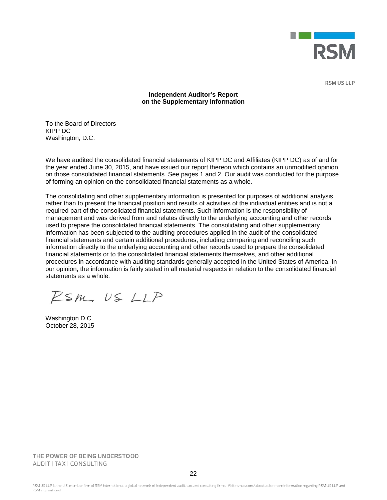

**RSM US LLP** 

## **Independent Auditor's Report on the Supplementary Information**

To the Board of Directors KIPP DC Washington, D.C.

We have audited the consolidated financial statements of KIPP DC and Affiliates (KIPP DC) as of and for the year ended June 30, 2015, and have issued our report thereon which contains an unmodified opinion on those consolidated financial statements. See pages 1 and 2. Our audit was conducted for the purpose of forming an opinion on the consolidated financial statements as a whole.

The consolidating and other supplementary information is presented for purposes of additional analysis rather than to present the financial position and results of activities of the individual entities and is not a required part of the consolidated financial statements. Such information is the responsibility of management and was derived from and relates directly to the underlying accounting and other records used to prepare the consolidated financial statements. The consolidating and other supplementary information has been subjected to the auditing procedures applied in the audit of the consolidated financial statements and certain additional procedures, including comparing and reconciling such information directly to the underlying accounting and other records used to prepare the consolidated financial statements or to the consolidated financial statements themselves, and other additional procedures in accordance with auditing standards generally accepted in the United States of America. In our opinion, the information is fairly stated in all material respects in relation to the consolidated financial statements as a whole.

 $PSM.$  US  $LLP$ 

Washington D.C. October 28, 2015

THE POWER OF BEING UNDERSTOOD AUDIT | TAX | CONSULTING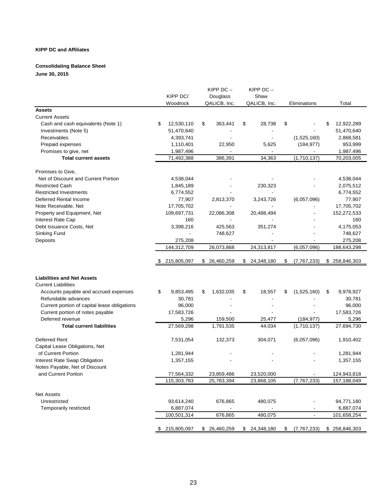#### **Consolidating Balance Sheet**

**June 30, 2015**

|                                              |                  | $KIPP$ $DC -$   | $K$ IPP DC $-$           |                                             |    |               |
|----------------------------------------------|------------------|-----------------|--------------------------|---------------------------------------------|----|---------------|
|                                              | KIPP DC/         | Douglass        | Shaw                     |                                             |    |               |
|                                              | Woodrock         | QALICB, Inc.    | QALICB, Inc.             | Eliminations                                |    | Total         |
| <b>Assets</b>                                |                  |                 |                          |                                             |    |               |
| <b>Current Assets</b>                        |                  |                 |                          |                                             |    |               |
| Cash and cash equivalents (Note 1)           | \$<br>12,530,110 | \$<br>363,441   | \$<br>28,738             | \$                                          | S  | 12,922,289    |
| Investments (Note 5)                         | 51,470,640       |                 |                          |                                             |    | 51,470,640    |
| Receivables                                  | 4,393,741        |                 |                          | (1,525,160)                                 |    | 2,868,581     |
| Prepaid expenses                             | 1,110,401        | 22,950          | 5,625                    | (184, 977)                                  |    | 953,999       |
| Promises to give, net                        | 1,987,496        |                 | $\overline{\phantom{a}}$ |                                             |    | 1,987,496     |
| <b>Total current assets</b>                  | 71,492,388       | 386,391         | 34,363                   | (1,710,137)                                 |    | 70,203,005    |
|                                              |                  |                 |                          |                                             |    |               |
| Promises to Give,                            |                  |                 |                          |                                             |    |               |
| Net of Discount and Current Portion          | 4,538,044        |                 |                          |                                             |    | 4,538,044     |
| <b>Restricted Cash</b>                       | 1,845,189        |                 | 230,323                  |                                             |    | 2,075,512     |
| <b>Restricted Investments</b>                | 6,774,552        |                 |                          |                                             |    | 6,774,552     |
| Deferred Rental Income                       | 77,907           | 2,813,370       | 3,243,726                | (6,057,096)                                 |    | 77,907        |
| Note Receivable, Net                         | 17,705,702       |                 |                          |                                             |    | 17,705,702    |
| Property and Equipment, Net                  | 109,697,731      | 22,086,308      | 20,488,494               |                                             |    | 152,272,533   |
| Interest Rate Cap                            | 160              |                 |                          |                                             |    | 160           |
| Debt Issuance Costs, Net                     | 3,398,216        | 425,563         | 351,274                  |                                             |    | 4,175,053     |
| Sinking Fund                                 |                  | 748,627         |                          |                                             |    | 748,627       |
| Deposits                                     | 275,208          |                 |                          |                                             |    | 275,208       |
|                                              | 144,312,709      | 26,073,868      | 24,313,817               | (6,057,096)                                 |    | 188,643,298   |
|                                              |                  |                 |                          |                                             |    |               |
|                                              | 215,805,097      | \$ 26,460,259   | \$24,348,180             | \$<br>(7, 767, 233)                         |    | \$258,846,303 |
| <b>Liabilities and Net Assets</b>            |                  |                 |                          |                                             |    |               |
| <b>Current Liabilities</b>                   |                  |                 |                          |                                             |    |               |
| Accounts payable and accrued expenses        | \$<br>9,853,495  | \$<br>1,632,035 | \$<br>18,557             | \$<br>(1,525,160)                           | \$ | 9,978,927     |
| Refundable advances                          | 30,781           |                 |                          |                                             |    | 30,781        |
| Current portion of capital lease obligations | 96,000           |                 |                          |                                             |    | 96,000        |
| Current portion of notes payable             | 17,583,726       |                 |                          |                                             |    | 17,583,726    |
| Deferred revenue                             | 5,296            | 159,500         | 25,477                   | (184, 977)                                  |    | 5,296         |
| <b>Total current liabilities</b>             | 27,569,298       | 1,791,535       | 44,034                   | (1,710,137)                                 |    | 27,694,730    |
|                                              |                  |                 |                          |                                             |    |               |
| Deferred Rent                                | 7,531,054        | 132,373         | 304,071                  | (6,057,096)                                 |    | 1,910,402     |
| Capital Lease Obligations, Net               |                  |                 |                          |                                             |    |               |
| of Current Portion                           | 1,281,944        |                 |                          |                                             |    | 1,281,944     |
| Interest Rate Swap Obligation                | 1,357,155        |                 |                          |                                             |    | 1,357,155     |
| Notes Payable, Net of Discount               |                  |                 |                          |                                             |    |               |
| and Current Portion                          | 77,564,332       | 23,859,486      | 23,520,000               |                                             |    | 124,943,818   |
|                                              | 115,303,783      | 25,783,394      | 23,868,105               | (7, 767, 233)                               |    | 157,188,049   |
| <b>Net Assets</b>                            |                  |                 |                          |                                             |    |               |
| Unrestricted                                 | 93,614,240       | 676,865         | 480,075                  |                                             |    | 94,771,180    |
| Temporarily restricted                       | 6,887,074        |                 |                          |                                             |    | 6,887,074     |
|                                              | 100,501,314      | 676,865         | 480,075                  |                                             |    | 101,658,254   |
|                                              |                  |                 |                          |                                             |    |               |
|                                              | \$ 215,805,097   | \$ 26,460,259   |                          | $$24,348,180$ $$(7,767,233)$ $$258,846,303$ |    |               |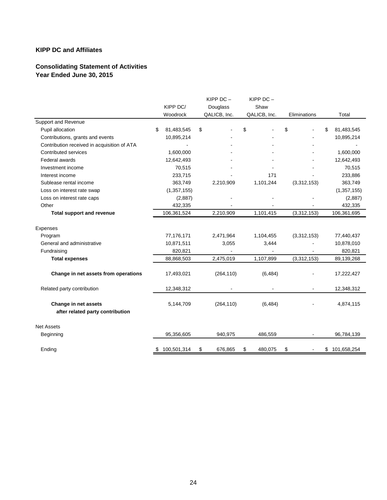# **Consolidating Statement of Activities Year Ended June 30, 2015**

|                                             | KIPP DC/<br>Woodrock | KIPP $DC -$<br>Douglass<br>QALICB, Inc. | KIPP $DC -$<br>Shaw<br>QALICB, Inc. | Eliminations |    | Total         |
|---------------------------------------------|----------------------|-----------------------------------------|-------------------------------------|--------------|----|---------------|
| <b>Support and Revenue</b>                  |                      |                                         |                                     |              |    |               |
| Pupil allocation                            | \$<br>81,483,545     | \$                                      | \$                                  | \$           | S  | 81,483,545    |
| Contributions, grants and events            | 10,895,214           |                                         |                                     |              |    | 10,895,214    |
| Contribution received in acquisition of ATA |                      |                                         |                                     |              |    |               |
| Contributed services                        | 1,600,000            |                                         |                                     |              |    | 1,600,000     |
| Federal awards                              | 12,642,493           |                                         |                                     |              |    | 12,642,493    |
| Investment income                           | 70,515               |                                         |                                     |              |    | 70,515        |
| Interest income                             | 233,715              |                                         | 171                                 |              |    | 233,886       |
| Sublease rental income                      | 363,749              | 2,210,909                               | 1,101,244                           | (3,312,153)  |    | 363,749       |
| Loss on interest rate swap                  | (1, 357, 155)        |                                         |                                     |              |    | (1, 357, 155) |
| Loss on interest rate caps                  | (2,887)              |                                         |                                     |              |    | (2,887)       |
| Other                                       | 432,335              |                                         |                                     |              |    | 432,335       |
| <b>Total support and revenue</b>            | 106,361,524          | 2,210,909                               | 1,101,415                           | (3,312,153)  |    | 106,361,695   |
| Expenses                                    |                      |                                         |                                     |              |    |               |
| Program                                     | 77,176,171           | 2,471,964                               | 1,104,455                           | (3,312,153)  |    | 77,440,437    |
| General and administrative                  | 10,871,511           | 3,055                                   | 3,444                               |              |    | 10,878,010    |
| Fundraising                                 | 820,821              |                                         |                                     |              |    | 820,821       |
| <b>Total expenses</b>                       | 88,868,503           | 2,475,019                               | 1,107,899                           | (3,312,153)  |    | 89,139,268    |
| Change in net assets from operations        | 17,493,021           | (264, 110)                              | (6, 484)                            |              |    | 17,222,427    |
| Related party contribution                  | 12,348,312           |                                         |                                     |              |    | 12,348,312    |
| Change in net assets                        | 5,144,709            | (264, 110)                              | (6, 484)                            |              |    | 4,874,115     |
| after related party contribution            |                      |                                         |                                     |              |    |               |
| <b>Net Assets</b>                           |                      |                                         |                                     |              |    |               |
| Beginning                                   | 95,356,605           | 940,975                                 | 486,559                             |              |    | 96,784,139    |
| Ending                                      | \$<br>100,501,314    | \$<br>676,865                           | \$<br>480,075                       | \$           | \$ | 101,658,254   |